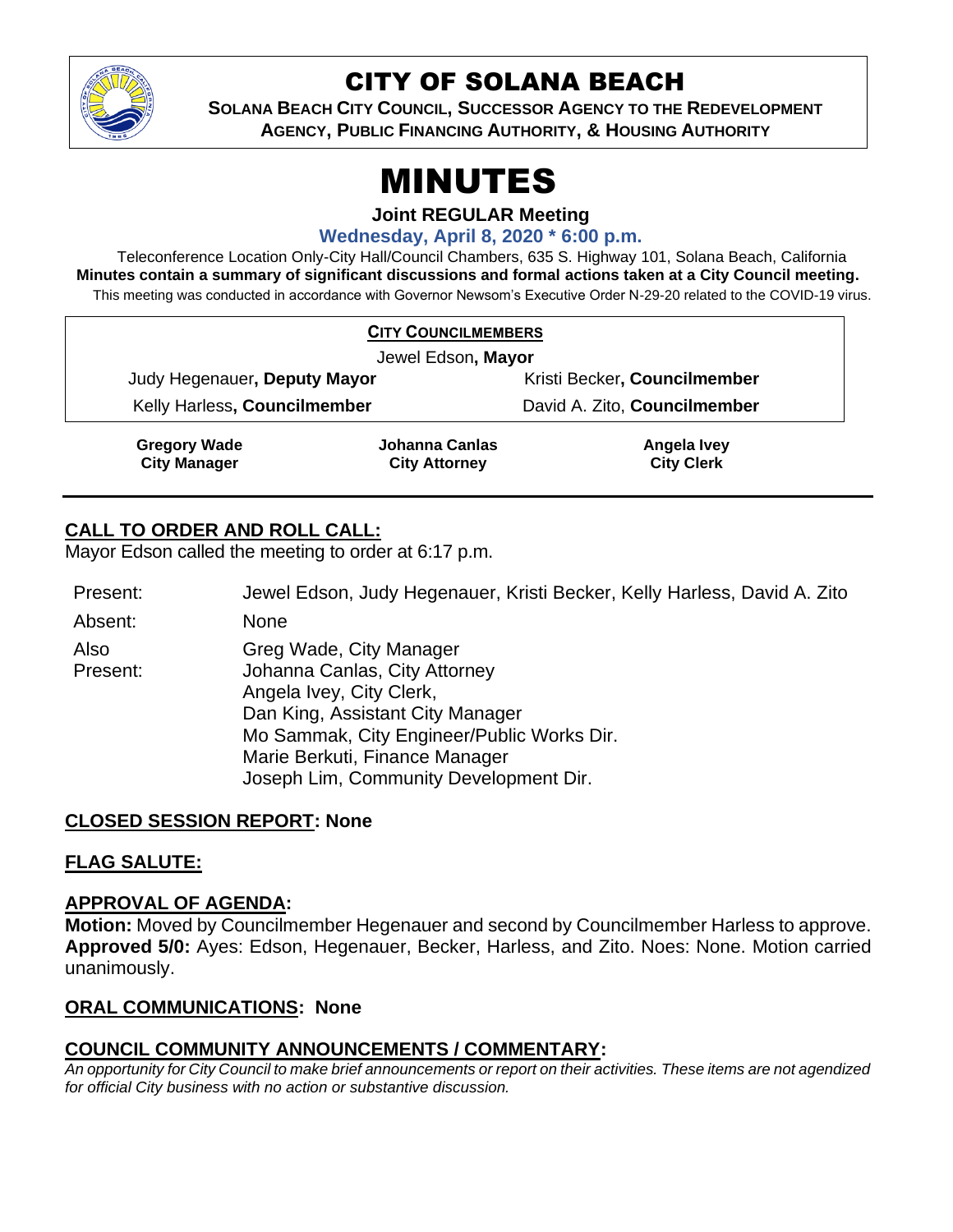

# CITY OF SOLANA BEACH

**SOLANA BEACH CITY COUNCIL, SUCCESSOR AGENCY TO THE REDEVELOPMENT AGENCY, PUBLIC FINANCING AUTHORITY, & HOUSING AUTHORITY**

# MINUTES

**Joint REGULAR Meeting**

**Wednesday, April 8, 2020 \* 6:00 p.m.**

Teleconference Location Only-City Hall/Council Chambers, 635 S. Highway 101, Solana Beach, California **Minutes contain a summary of significant discussions and formal actions taken at a City Council meeting.** This meeting was conducted in accordance with Governor Newsom's Executive Order N-29-20 related to the COVID-19 virus.

| <b>CITY COUNCILMEMBERS</b>                 |                                        |                                  |
|--------------------------------------------|----------------------------------------|----------------------------------|
| Jewel Edson, Mayor                         |                                        |                                  |
| Judy Hegenauer, Deputy Mayor               |                                        | Kristi Becker, Councilmember     |
| Kelly Harless, Councilmember               |                                        | David A. Zito, Councilmember     |
| <b>Gregory Wade</b><br><b>City Manager</b> | Johanna Canlas<br><b>City Attorney</b> | Angela Ivey<br><b>City Clerk</b> |

# **CALL TO ORDER AND ROLL CALL:**

Mayor Edson called the meeting to order at 6:17 p.m.

Present: Jewel Edson, Judy Hegenauer, Kristi Becker, Kelly Harless, David A. Zito

Absent: None

Also Present: Greg Wade, City Manager Johanna Canlas, City Attorney Angela Ivey, City Clerk, Dan King, Assistant City Manager Mo Sammak, City Engineer/Public Works Dir. Marie Berkuti, Finance Manager Joseph Lim, Community Development Dir.

# **CLOSED SESSION REPORT: None**

# **FLAG SALUTE:**

# **APPROVAL OF AGENDA:**

**Motion:** Moved by Councilmember Hegenauer and second by Councilmember Harless to approve. **Approved 5/0:** Ayes: Edson, Hegenauer, Becker, Harless, and Zito. Noes: None. Motion carried unanimously.

# **ORAL COMMUNICATIONS: None**

# **COUNCIL COMMUNITY ANNOUNCEMENTS / COMMENTARY:**

*An opportunity for City Council to make brief announcements or report on their activities. These items are not agendized for official City business with no action or substantive discussion.*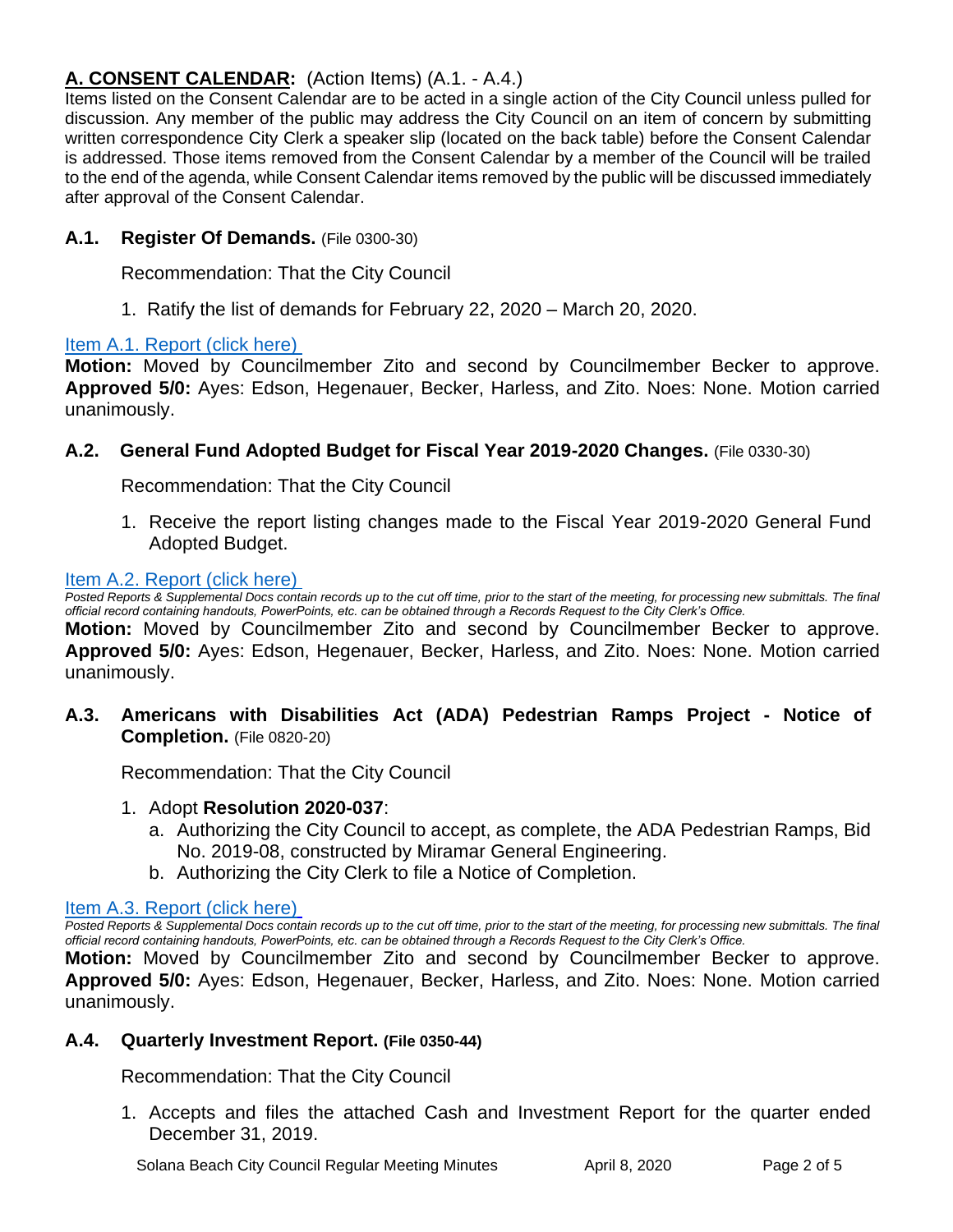# **A. CONSENT CALENDAR:** (Action Items) (A.1. - A.4.)

Items listed on the Consent Calendar are to be acted in a single action of the City Council unless pulled for discussion. Any member of the public may address the City Council on an item of concern by submitting written correspondence City Clerk a speaker slip (located on the back table) before the Consent Calendar is addressed. Those items removed from the Consent Calendar by a member of the Council will be trailed to the end of the agenda, while Consent Calendar items removed by the public will be discussed immediately after approval of the Consent Calendar.

## **A.1. Register Of Demands.** (File 0300-30)

Recommendation: That the City Council

1. Ratify the list of demands for February 22, 2020 – March 20, 2020.

#### [Item A.1. Report \(click here\)](https://solanabeach.govoffice3.com/vertical/Sites/%7B840804C2-F869-4904-9AE3-720581350CE7%7D/uploads/Item_A.1._Report_(click_here)_04-08-20_-_O.pdf)

**Motion:** Moved by Councilmember Zito and second by Councilmember Becker to approve. Approved 5/0: Ayes: Edson, Hegenauer, Becker, Harless, and Zito. Noes: None. Motion carried unanimously.

**A.2. General Fund Adopted Budget for Fiscal Year 2019-2020 Changes.** (File 0330-30)

Recommendation: That the City Council

1. Receive the report listing changes made to the Fiscal Year 2019-2020 General Fund Adopted Budget.

#### [Item A.2. Report \(click here\)](https://solanabeach.govoffice3.com/vertical/Sites/%7B840804C2-F869-4904-9AE3-720581350CE7%7D/uploads/Item_A.2._Report_(click_here)_04-08-20_-_O.pdf)

*Posted Reports & Supplemental Docs contain records up to the cut off time, prior to the start of the meeting, for processing new submittals. The final official record containing handouts, PowerPoints, etc. can be obtained through a Records Request to the City Clerk's Office.*

**Motion:** Moved by Councilmember Zito and second by Councilmember Becker to approve. Approved 5/0: Ayes: Edson, Hegenauer, Becker, Harless, and Zito. Noes: None. Motion carried unanimously.

**A.3. Americans with Disabilities Act (ADA) Pedestrian Ramps Project - Notice of Completion.** (File 0820-20)

Recommendation: That the City Council

- 1. Adopt **Resolution 2020-037**:
	- a. Authorizing the City Council to accept, as complete, the ADA Pedestrian Ramps, Bid No. 2019-08, constructed by Miramar General Engineering.
	- b. Authorizing the City Clerk to file a Notice of Completion.

#### [Item A.3. Report \(click here\)](https://solanabeach.govoffice3.com/vertical/Sites/%7B840804C2-F869-4904-9AE3-720581350CE7%7D/uploads/Item_A.3._Report_(click_here)_04-08-20_-_O.pdf)

*Posted Reports & Supplemental Docs contain records up to the cut off time, prior to the start of the meeting, for processing new submittals. The final official record containing handouts, PowerPoints, etc. can be obtained through a Records Request to the City Clerk's Office.*

**Motion:** Moved by Councilmember Zito and second by Councilmember Becker to approve. **Approved 5/0:** Ayes: Edson, Hegenauer, Becker, Harless, and Zito. Noes: None. Motion carried unanimously.

#### **A.4. Quarterly Investment Report. (File 0350-44)**

Recommendation: That the City Council

1. Accepts and files the attached Cash and Investment Report for the quarter ended December 31, 2019.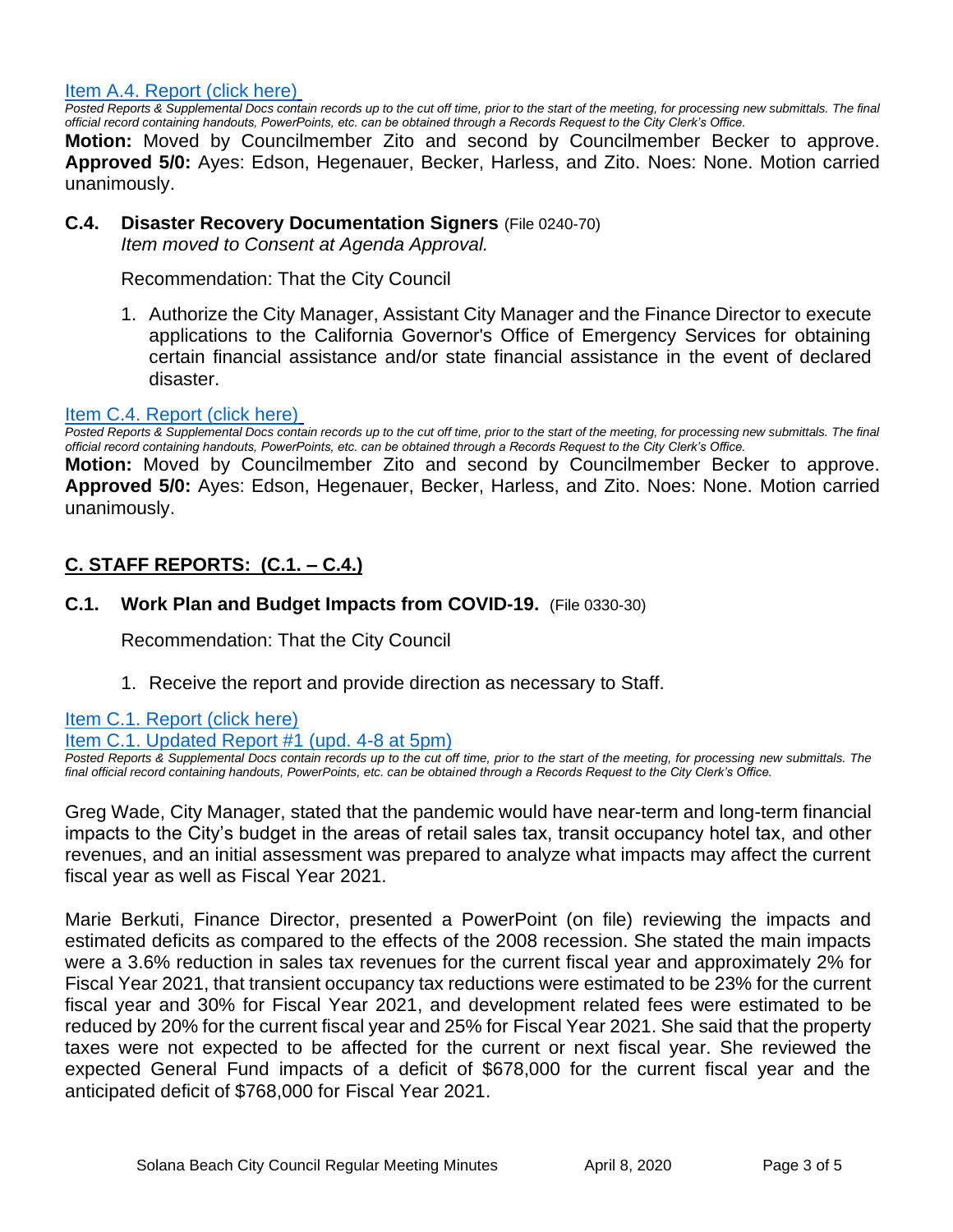[Item A.4. Report \(click here\)](https://solanabeach.govoffice3.com/vertical/Sites/%7B840804C2-F869-4904-9AE3-720581350CE7%7D/uploads/Item_A.4._Report_(click_here)_04-08-20_-_O.pdf)

Posted Reports & Supplemental Docs contain records up to the cut off time, prior to the start of the meeting, for processing new submittals. The final *official record containing handouts, PowerPoints, etc. can be obtained through a Records Request to the City Clerk's Office.*

**Motion:** Moved by Councilmember Zito and second by Councilmember Becker to approve. Approved 5/0: Ayes: Edson, Hegenauer, Becker, Harless, and Zito. Noes: None. Motion carried unanimously.

#### **C.4. Disaster Recovery Documentation Signers** (File 0240-70) *Item moved to Consent at Agenda Approval.*

Recommendation: That the City Council

1. Authorize the City Manager, Assistant City Manager and the Finance Director to execute applications to the California Governor's Office of Emergency Services for obtaining certain financial assistance and/or state financial assistance in the event of declared disaster.

#### [Item C.4. Report \(click here\)](https://solanabeach.govoffice3.com/vertical/Sites/%7B840804C2-F869-4904-9AE3-720581350CE7%7D/uploads/Item_C.4._Report_(click_here)_04-08-20_-_O.pdf)

*Posted Reports & Supplemental Docs contain records up to the cut off time, prior to the start of the meeting, for processing new submittals. The final official record containing handouts, PowerPoints, etc. can be obtained through a Records Request to the City Clerk's Office.*

**Motion:** Moved by Councilmember Zito and second by Councilmember Becker to approve. **Approved 5/0:** Ayes: Edson, Hegenauer, Becker, Harless, and Zito. Noes: None. Motion carried unanimously.

## **C. STAFF REPORTS: (C.1. – C.4.)**

#### **C.1. Work Plan and Budget Impacts from COVID-19.** (File 0330-30)

Recommendation: That the City Council

1. Receive the report and provide direction as necessary to Staff.

[Item C.1. Report \(click here\)](https://solanabeach.govoffice3.com/vertical/Sites/%7B840804C2-F869-4904-9AE3-720581350CE7%7D/uploads/Item_C.1._Report_(click_here)_04-08-20_-_O.pdf) [Item C.1. Updated Report #1 \(upd. 4-8 at 5pm\)](https://solanabeach.govoffice3.com/vertical/Sites/%7B840804C2-F869-4904-9AE3-720581350CE7%7D/uploads/Item_C.1._Staff_Report_Update_1_(updated_4-8_at_418pm).pdf)

*Posted Reports & Supplemental Docs contain records up to the cut off time, prior to the start of the meeting, for processing new submittals. The final official record containing handouts, PowerPoints, etc. can be obtained through a Records Request to the City Clerk's Office.*

Greg Wade, City Manager, stated that the pandemic would have near-term and long-term financial impacts to the City's budget in the areas of retail sales tax, transit occupancy hotel tax, and other revenues, and an initial assessment was prepared to analyze what impacts may affect the current fiscal year as well as Fiscal Year 2021.

Marie Berkuti, Finance Director, presented a PowerPoint (on file) reviewing the impacts and estimated deficits as compared to the effects of the 2008 recession. She stated the main impacts were a 3.6% reduction in sales tax revenues for the current fiscal year and approximately 2% for Fiscal Year 2021, that transient occupancy tax reductions were estimated to be 23% for the current fiscal year and 30% for Fiscal Year 2021, and development related fees were estimated to be reduced by 20% for the current fiscal year and 25% for Fiscal Year 2021. She said that the property taxes were not expected to be affected for the current or next fiscal year. She reviewed the expected General Fund impacts of a deficit of \$678,000 for the current fiscal year and the anticipated deficit of \$768,000 for Fiscal Year 2021.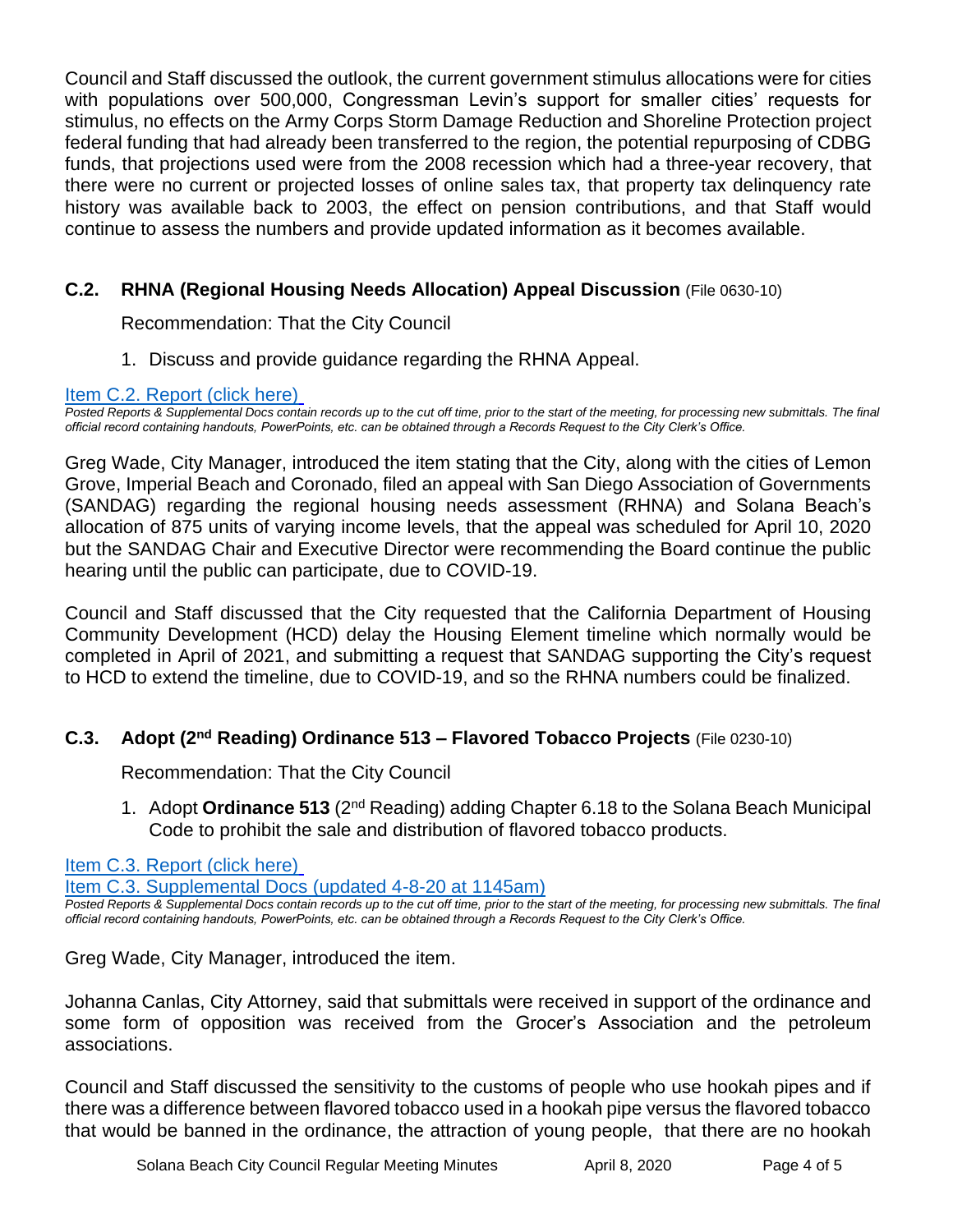Council and Staff discussed the outlook, the current government stimulus allocations were for cities with populations over 500,000, Congressman Levin's support for smaller cities' requests for stimulus, no effects on the Army Corps Storm Damage Reduction and Shoreline Protection project federal funding that had already been transferred to the region, the potential repurposing of CDBG funds, that projections used were from the 2008 recession which had a three-year recovery, that there were no current or projected losses of online sales tax, that property tax delinquency rate history was available back to 2003, the effect on pension contributions, and that Staff would continue to assess the numbers and provide updated information as it becomes available.

# **C.2. RHNA (Regional Housing Needs Allocation) Appeal Discussion** (File 0630-10)

Recommendation: That the City Council

1. Discuss and provide guidance regarding the RHNA Appeal.

#### [Item C.2. Report \(click here\)](https://solanabeach.govoffice3.com/vertical/Sites/%7B840804C2-F869-4904-9AE3-720581350CE7%7D/uploads/Item_C.2._Report_(click_here)_04-08-20_-_O.pdf)

*Posted Reports & Supplemental Docs contain records up to the cut off time, prior to the start of the meeting, for processing new submittals. The final official record containing handouts, PowerPoints, etc. can be obtained through a Records Request to the City Clerk's Office.*

Greg Wade, City Manager, introduced the item stating that the City, along with the cities of Lemon Grove, Imperial Beach and Coronado, filed an appeal with San Diego Association of Governments (SANDAG) regarding the regional housing needs assessment (RHNA) and Solana Beach's allocation of 875 units of varying income levels, that the appeal was scheduled for April 10, 2020 but the SANDAG Chair and Executive Director were recommending the Board continue the public hearing until the public can participate, due to COVID-19.

Council and Staff discussed that the City requested that the California Department of Housing Community Development (HCD) delay the Housing Element timeline which normally would be completed in April of 2021, and submitting a request that SANDAG supporting the City's request to HCD to extend the timeline, due to COVID-19, and so the RHNA numbers could be finalized.

# **C.3. Adopt (2nd Reading) Ordinance 513 – Flavored Tobacco Projects** (File 0230-10)

Recommendation: That the City Council

1. Adopt **Ordinance 513** (2nd Reading) adding Chapter 6.18 to the Solana Beach Municipal Code to prohibit the sale and distribution of flavored tobacco products.

# [Item C.3. Report \(click here\)](https://solanabeach.govoffice3.com/vertical/Sites/%7B840804C2-F869-4904-9AE3-720581350CE7%7D/uploads/Item_C.3._Report_(click_here)_04-08-20_-_O.pdf)

[Item C.3. Supplemental Docs \(updated 4-8-20](https://solanabeach.govoffice3.com/vertical/Sites/%7B840804C2-F869-4904-9AE3-720581350CE7%7D/uploads/Item_C.3._Supplemental_Docs_(upd._4-8_at_1135am)_-_O.pdf) at 1145am)

*Posted Reports & Supplemental Docs contain records up to the cut off time, prior to the start of the meeting, for processing new submittals. The final official record containing handouts, PowerPoints, etc. can be obtained through a Records Request to the City Clerk's Office.*

Greg Wade, City Manager, introduced the item.

Johanna Canlas, City Attorney, said that submittals were received in support of the ordinance and some form of opposition was received from the Grocer's Association and the petroleum associations.

Council and Staff discussed the sensitivity to the customs of people who use hookah pipes and if there was a difference between flavored tobacco used in a hookah pipe versus the flavored tobacco that would be banned in the ordinance, the attraction of young people, that there are no hookah